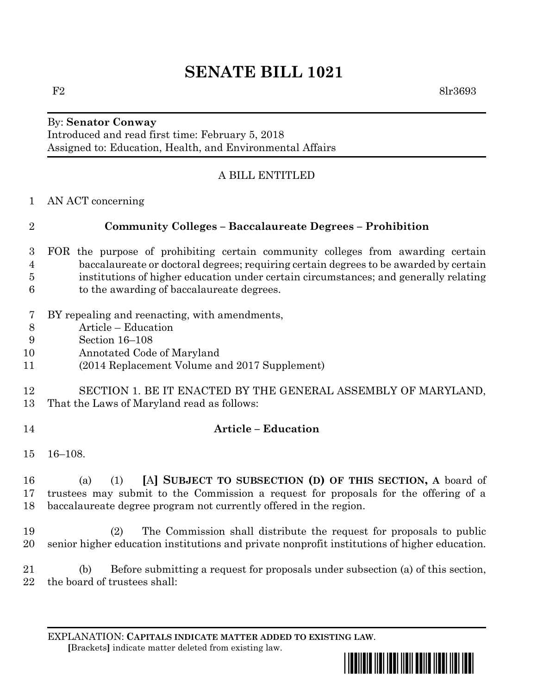# **SENATE BILL 1021**

#### By: **Senator Conway** Introduced and read first time: February 5, 2018 Assigned to: Education, Health, and Environmental Affairs

# A BILL ENTITLED

AN ACT concerning

## **Community Colleges – Baccalaureate Degrees – Prohibition**

- FOR the purpose of prohibiting certain community colleges from awarding certain baccalaureate or doctoral degrees; requiring certain degrees to be awarded by certain institutions of higher education under certain circumstances; and generally relating to the awarding of baccalaureate degrees.
- BY repealing and reenacting, with amendments,
- Article Education
- Section 16–108
- Annotated Code of Maryland
- (2014 Replacement Volume and 2017 Supplement)

#### SECTION 1. BE IT ENACTED BY THE GENERAL ASSEMBLY OF MARYLAND, That the Laws of Maryland read as follows:

## **Article – Education**

16–108.

 (a) (1) **[**A**] SUBJECT TO SUBSECTION (D) OF THIS SECTION, A** board of trustees may submit to the Commission a request for proposals for the offering of a baccalaureate degree program not currently offered in the region.

 (2) The Commission shall distribute the request for proposals to public senior higher education institutions and private nonprofit institutions of higher education.

 (b) Before submitting a request for proposals under subsection (a) of this section, 22 the board of trustees shall:

EXPLANATION: **CAPITALS INDICATE MATTER ADDED TO EXISTING LAW**.  **[**Brackets**]** indicate matter deleted from existing law.